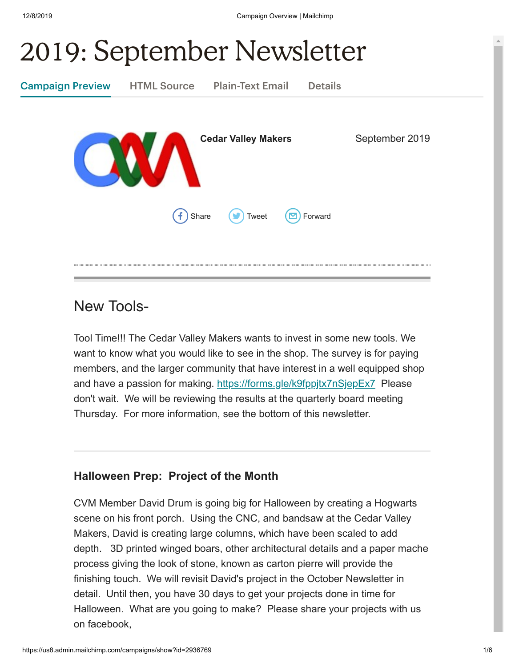# 2019: September Newsletter

| <b>Campaign Preview</b>         | <b>HTML Source Plain-Text Email</b> |                              | <b>Details</b>           |                |  |
|---------------------------------|-------------------------------------|------------------------------|--------------------------|----------------|--|
|                                 |                                     | <b>Cedar Valley Makers</b>   |                          | September 2019 |  |
|                                 | $(f)$ Share                         | $\left(\bullet\right)$ Tweet | Forward<br>$(\boxtimes)$ |                |  |
| ------------------------------- |                                     |                              |                          |                |  |

## New Tools-

Tool Time!!! The Cedar Valley Makers wants to invest in some new tools. We want to know what you would like to see in the shop. The survey is for paying members, and the larger community that have interest in a well equipped shop and have a passion for making. [https://forms.gle/k9fppjtx7nSjepEx7](https://forms.gle/k9fppjtx7nSjepEx7?fbclid=IwAR09tGmKRe4RztSPkTJ2q3pyxdqqSORHaC_ui27Ekvk4udzLJSMD0LNcnGk) Please don't wait. We will be reviewing the results at the quarterly board meeting Thursday. For more information, see the bottom of this newsletter.

### **Halloween Prep: Project of the Month**

CVM Member David Drum is going big for Halloween by creating a Hogwarts scene on his front porch. Using the CNC, and bandsaw at the Cedar Valley Makers, David is creating large columns, which have been scaled to add depth. 3D printed winged boars, other architectural details and a paper mache process giving the look of stone, known as carton pierre will provide the finishing touch. We will revisit David's project in the October Newsletter in detail. Until then, you have 30 days to get your projects done in time for Halloween. What are you going to make? Please share your projects with us on facebook,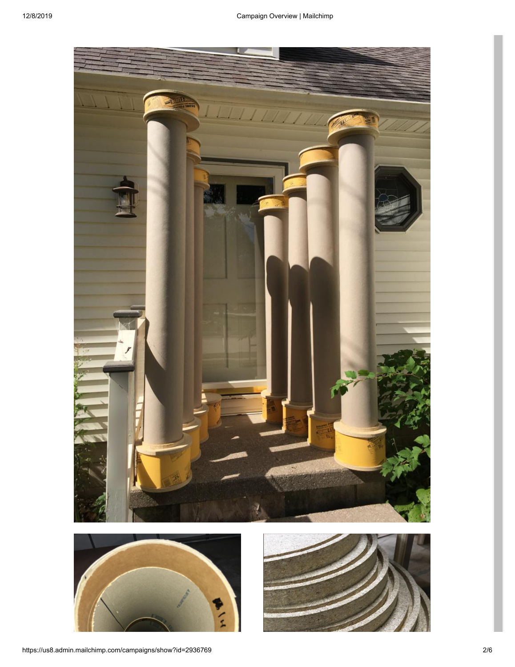



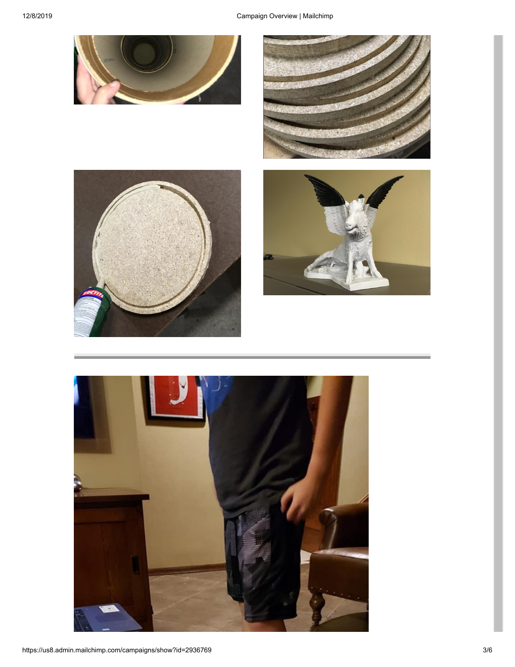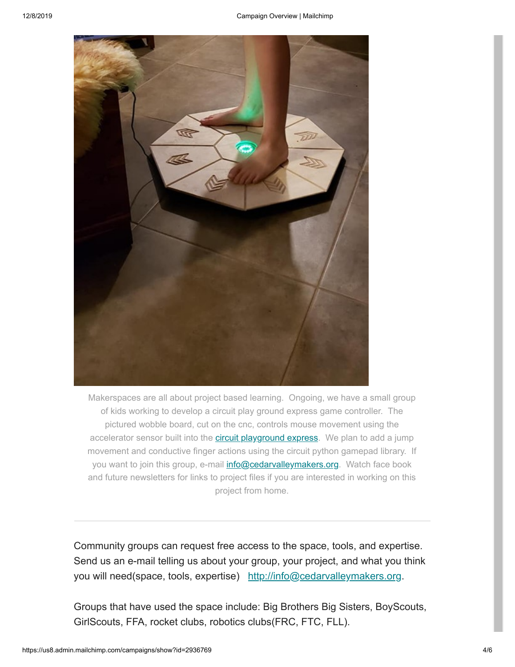

Makerspaces are all about project based learning. Ongoing, we have a small group of kids working to develop a circuit play ground express game controller. The pictured wobble board, cut on the cnc, controls mouse movement using the accelerator sensor built into the [circuit playground express](https://learn.adafruit.com/adafruit-circuit-playground-express/overview). We plan to add a jump movement and conductive finger actions using the circuit python gamepad library. If you want to join this group, e-mail *[info@cedarvalleymakers.org](mailto:info@cedarvalleymakers.org?subject=Game%20controller)*. Watch face book and future newsletters for links to project files if you are interested in working on this project from home.

Community groups can request free access to the space, tools, and expertise. Send us an e-mail telling us about your group, your project, and what you think you will need(space, tools, expertise) [http://info@cedarvalleymakers.org](http://info@cedarvalleymakers.org/).

Groups that have used the space include: Big Brothers Big Sisters, BoyScouts, GirlScouts, FFA, rocket clubs, robotics clubs(FRC, FTC, FLL).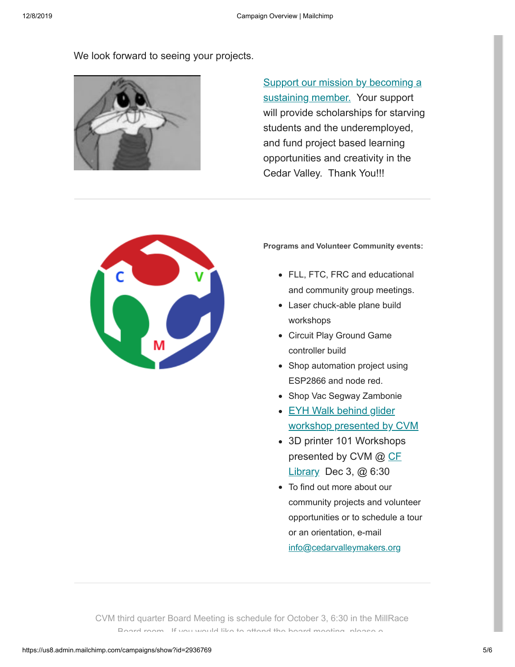We look forward to seeing your projects.



[Support our mission by becoming a](https://www.cedarvalleymakers.org/Donate) sustaining member. Your support will provide scholarships for starving students and the underemployed, and fund project based learning opportunities and creativity in the Cedar Valley. Thank You!!!



**Programs and Volunteer Community events:**

- FLL, FTC, FRC and educational and community group meetings.
- Laser chuck-able plane build workshops
- Circuit Play Ground Game controller build
- Shop automation project using ESP2866 and node red.
- Shop Vac Segway Zambonie
- EYH Walk behind glider [workshop presented by CVM](https://eyh.techbridgegirls.org/conferences/CedarValleyIowa/)
- 3D printer 101 Workshops presented by CVM  $@$  CF Library Dec 3, @ 6:30
- To find out more about our community projects and volunteer opportunities or to schedule a tour or an orientation, e-mail [info@cedarvalleymakers.org](mailto:info@cedarvalleymakers.org)

CVM third quarter Board Meeting is schedule for October 3, 6:30 in the MillRace Board room. If you would like to attend the board meeting please a